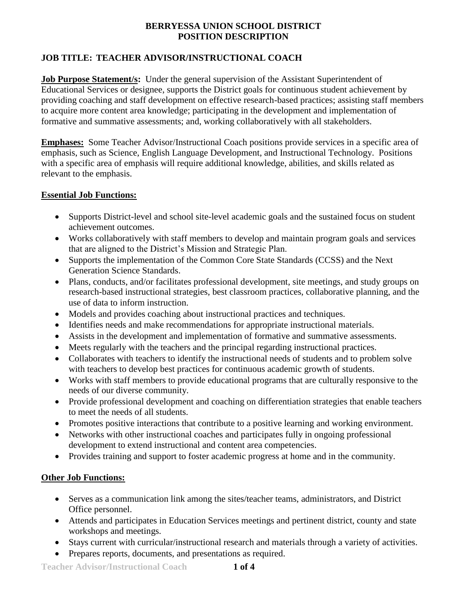# **JOB TITLE: TEACHER ADVISOR/INSTRUCTIONAL COACH**

**Job Purpose Statement/s:** Under the general supervision of the Assistant Superintendent of Educational Services or designee, supports the District goals for continuous student achievement by providing coaching and staff development on effective research-based practices; assisting staff members to acquire more content area knowledge; participating in the development and implementation of formative and summative assessments; and, working collaboratively with all stakeholders.

**Emphases:** Some Teacher Advisor/Instructional Coach positions provide services in a specific area of emphasis, such as Science, English Language Development, and Instructional Technology. Positions with a specific area of emphasis will require additional knowledge, abilities, and skills related as relevant to the emphasis.

## **Essential Job Functions:**

- Supports District-level and school site-level academic goals and the sustained focus on student achievement outcomes.
- Works collaboratively with staff members to develop and maintain program goals and services that are aligned to the District's Mission and Strategic Plan.
- Supports the implementation of the Common Core State Standards (CCSS) and the Next Generation Science Standards.
- Plans, conducts, and/or facilitates professional development, site meetings, and study groups on research-based instructional strategies, best classroom practices, collaborative planning, and the use of data to inform instruction.
- Models and provides coaching about instructional practices and techniques.
- Identifies needs and make recommendations for appropriate instructional materials.
- Assists in the development and implementation of formative and summative assessments.
- Meets regularly with the teachers and the principal regarding instructional practices.
- Collaborates with teachers to identify the instructional needs of students and to problem solve with teachers to develop best practices for continuous academic growth of students.
- Works with staff members to provide educational programs that are culturally responsive to the needs of our diverse community.
- Provide professional development and coaching on differentiation strategies that enable teachers to meet the needs of all students.
- Promotes positive interactions that contribute to a positive learning and working environment.
- Networks with other instructional coaches and participates fully in ongoing professional development to extend instructional and content area competencies.
- Provides training and support to foster academic progress at home and in the community.

# **Other Job Functions:**

- Serves as a communication link among the sites/teacher teams, administrators, and District Office personnel.
- Attends and participates in Education Services meetings and pertinent district, county and state workshops and meetings.
- Stays current with curricular/instructional research and materials through a variety of activities.
- Prepares reports, documents, and presentations as required.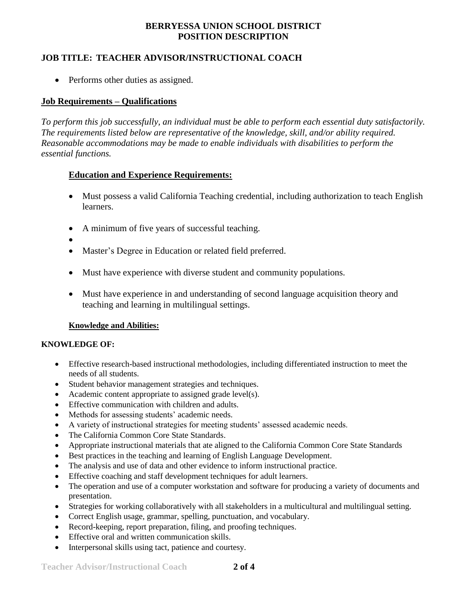## **JOB TITLE: TEACHER ADVISOR/INSTRUCTIONAL COACH**

• Performs other duties as assigned.

### **Job Requirements – Qualifications**

*To perform this job successfully, an individual must be able to perform each essential duty satisfactorily. The requirements listed below are representative of the knowledge, skill, and/or ability required. Reasonable accommodations may be made to enable individuals with disabilities to perform the essential functions.*

## **Education and Experience Requirements:**

- Must possess a valid California Teaching credential, including authorization to teach English learners.
- A minimum of five years of successful teaching.
- $\bullet$
- Master's Degree in Education or related field preferred.
- Must have experience with diverse student and community populations.
- Must have experience in and understanding of second language acquisition theory and teaching and learning in multilingual settings.

### **Knowledge and Abilities:**

#### **KNOWLEDGE OF:**

- Effective research-based instructional methodologies, including differentiated instruction to meet the needs of all students.
- Student behavior management strategies and techniques.
- Academic content appropriate to assigned grade level(s).
- **Effective communication with children and adults.**
- Methods for assessing students' academic needs.
- A variety of instructional strategies for meeting students' assessed academic needs.
- The California Common Core State Standards.
- Appropriate instructional materials that ate aligned to the California Common Core State Standards
- Best practices in the teaching and learning of English Language Development.
- The analysis and use of data and other evidence to inform instructional practice.
- Effective coaching and staff development techniques for adult learners.
- The operation and use of a computer workstation and software for producing a variety of documents and presentation.
- Strategies for working collaboratively with all stakeholders in a multicultural and multilingual setting.
- Correct English usage, grammar, spelling, punctuation, and vocabulary.
- Record-keeping, report preparation, filing, and proofing techniques.
- Effective oral and written communication skills.
- Interpersonal skills using tact, patience and courtesy.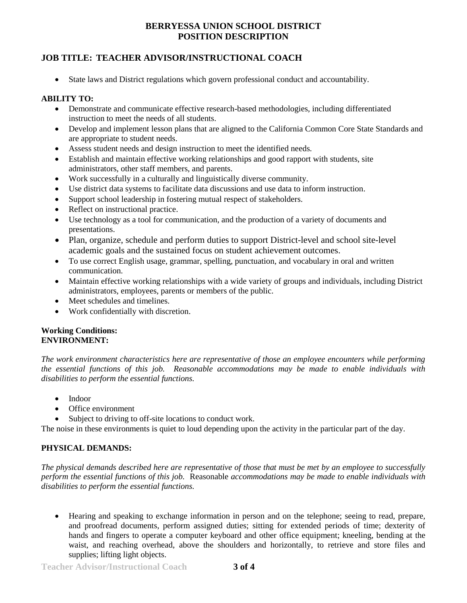## **JOB TITLE: TEACHER ADVISOR/INSTRUCTIONAL COACH**

State laws and District regulations which govern professional conduct and accountability.

### **ABILITY TO:**

- Demonstrate and communicate effective research-based methodologies, including differentiated instruction to meet the needs of all students.
- Develop and implement lesson plans that are aligned to the California Common Core State Standards and are appropriate to student needs.
- Assess student needs and design instruction to meet the identified needs.
- Establish and maintain effective working relationships and good rapport with students, site administrators, other staff members, and parents.
- Work successfully in a culturally and linguistically diverse community.
- Use district data systems to facilitate data discussions and use data to inform instruction.
- Support school leadership in fostering mutual respect of stakeholders.
- Reflect on instructional practice.
- Use technology as a tool for communication, and the production of a variety of documents and presentations.
- Plan, organize, schedule and perform duties to support District-level and school site-level academic goals and the sustained focus on student achievement outcomes.
- To use correct English usage, grammar, spelling, punctuation, and vocabulary in oral and written communication.
- Maintain effective working relationships with a wide variety of groups and individuals, including District administrators, employees, parents or members of the public.
- Meet schedules and timelines.
- Work confidentially with discretion.

#### **Working Conditions: ENVIRONMENT:**

*The work environment characteristics here are representative of those an employee encounters while performing the essential functions of this job. Reasonable accommodations may be made to enable individuals with disabilities to perform the essential functions.*

- Indoor
- Office environment
- Subject to driving to off-site locations to conduct work.

The noise in these environments is quiet to loud depending upon the activity in the particular part of the day.

### **PHYSICAL DEMANDS:**

*The physical demands described here are representative of those that must be met by an employee to successfully perform the essential functions of this job.* Reasonable *accommodations may be made to enable individuals with disabilities to perform the essential functions.*

 Hearing and speaking to exchange information in person and on the telephone; seeing to read, prepare, and proofread documents, perform assigned duties; sitting for extended periods of time; dexterity of hands and fingers to operate a computer keyboard and other office equipment; kneeling, bending at the waist, and reaching overhead, above the shoulders and horizontally, to retrieve and store files and supplies; lifting light objects.